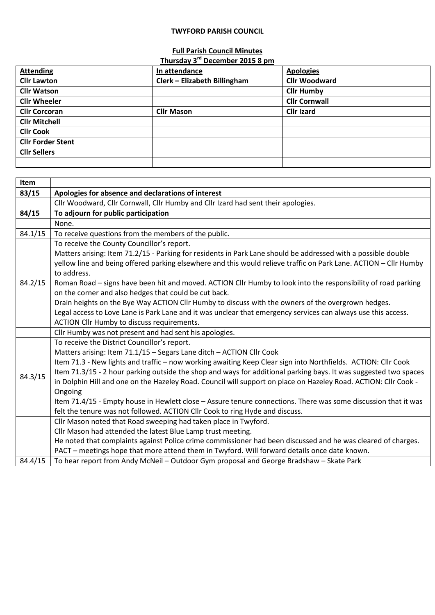## **TWYFORD PARISH COUNCIL**

## **Full Parish Council Minutes**

|                          | Thursday 3 <sup>rd</sup> December 2015 8 pm |                      |
|--------------------------|---------------------------------------------|----------------------|
| <b>Attending</b>         | In attendance                               | <b>Apologies</b>     |
| <b>Cllr Lawton</b>       | Clerk - Elizabeth Billingham                | <b>Cllr Woodward</b> |
| <b>Cllr Watson</b>       |                                             | <b>Cllr Humby</b>    |
| <b>Cllr Wheeler</b>      |                                             | <b>Cllr Cornwall</b> |
| <b>Cllr Corcoran</b>     | <b>Cllr Mason</b>                           | <b>Cllr Izard</b>    |
| <b>Cllr Mitchell</b>     |                                             |                      |
| <b>CIIr Cook</b>         |                                             |                      |
| <b>Cllr Forder Stent</b> |                                             |                      |
| <b>Cllr Sellers</b>      |                                             |                      |
|                          |                                             |                      |

| Item    |                                                                                                                  |
|---------|------------------------------------------------------------------------------------------------------------------|
| 83/15   | Apologies for absence and declarations of interest                                                               |
|         | Cllr Woodward, Cllr Cornwall, Cllr Humby and Cllr Izard had sent their apologies.                                |
| 84/15   | To adjourn for public participation                                                                              |
|         | None.                                                                                                            |
| 84.1/15 | To receive questions from the members of the public.                                                             |
|         | To receive the County Councillor's report.                                                                       |
|         | Matters arising: Item 71.2/15 - Parking for residents in Park Lane should be addressed with a possible double    |
|         | yellow line and being offered parking elsewhere and this would relieve traffic on Park Lane. ACTION - Cllr Humby |
|         | to address.                                                                                                      |
| 84.2/15 | Roman Road - signs have been hit and moved. ACTION Cllr Humby to look into the responsibility of road parking    |
|         | on the corner and also hedges that could be cut back.                                                            |
|         | Drain heights on the Bye Way ACTION Cllr Humby to discuss with the owners of the overgrown hedges.               |
|         | Legal access to Love Lane is Park Lane and it was unclear that emergency services can always use this access.    |
|         | ACTION Cllr Humby to discuss requirements.                                                                       |
|         | Cllr Humby was not present and had sent his apologies.                                                           |
|         | To receive the District Councillor's report.                                                                     |
|         | Matters arising: Item 71.1/15 - Segars Lane ditch - ACTION Cllr Cook                                             |
|         | Item 71.3 - New lights and traffic - now working awaiting Keep Clear sign into Northfields. ACTION: Cllr Cook    |
| 84.3/15 | Item 71.3/15 - 2 hour parking outside the shop and ways for additional parking bays. It was suggested two spaces |
|         | in Dolphin Hill and one on the Hazeley Road. Council will support on place on Hazeley Road. ACTION: Cllr Cook -  |
|         | Ongoing                                                                                                          |
|         | Item 71.4/15 - Empty house in Hewlett close - Assure tenure connections. There was some discussion that it was   |
|         | felt the tenure was not followed. ACTION Cllr Cook to ring Hyde and discuss.                                     |
|         | Cllr Mason noted that Road sweeping had taken place in Twyford.                                                  |
|         | Cllr Mason had attended the latest Blue Lamp trust meeting.                                                      |
|         | He noted that complaints against Police crime commissioner had been discussed and he was cleared of charges.     |
|         | PACT - meetings hope that more attend them in Twyford. Will forward details once date known.                     |
| 84.4/15 | To hear report from Andy McNeil - Outdoor Gym proposal and George Bradshaw - Skate Park                          |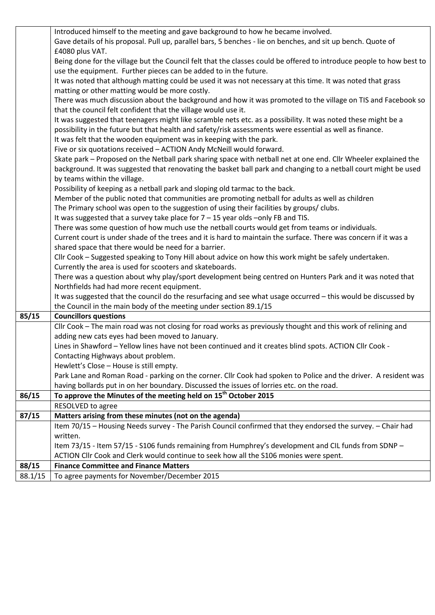|         | Introduced himself to the meeting and gave background to how he became involved.                                     |
|---------|----------------------------------------------------------------------------------------------------------------------|
|         | Gave details of his proposal. Pull up, parallel bars, 5 benches - lie on benches, and sit up bench. Quote of         |
|         | £4080 plus VAT.                                                                                                      |
|         | Being done for the village but the Council felt that the classes could be offered to introduce people to how best to |
|         | use the equipment. Further pieces can be added to in the future.                                                     |
|         | It was noted that although matting could be used it was not necessary at this time. It was noted that grass          |
|         | matting or other matting would be more costly.                                                                       |
|         | There was much discussion about the background and how it was promoted to the village on TIS and Facebook so         |
|         | that the council felt confident that the village would use it.                                                       |
|         |                                                                                                                      |
|         | It was suggested that teenagers might like scramble nets etc. as a possibility. It was noted these might be a        |
|         | possibility in the future but that health and safety/risk assessments were essential as well as finance.             |
|         | It was felt that the wooden equipment was in keeping with the park.                                                  |
|         | Five or six quotations received - ACTION Andy McNeill would forward.                                                 |
|         | Skate park - Proposed on the Netball park sharing space with netball net at one end. Cllr Wheeler explained the      |
|         | background. It was suggested that renovating the basket ball park and changing to a netball court might be used      |
|         | by teams within the village.                                                                                         |
|         | Possibility of keeping as a netball park and sloping old tarmac to the back.                                         |
|         | Member of the public noted that communities are promoting netball for adults as well as children                     |
|         | The Primary school was open to the suggestion of using their facilities by groups/clubs.                             |
|         | It was suggested that a survey take place for $7 - 15$ year olds -only FB and TIS.                                   |
|         | There was some question of how much use the netball courts would get from teams or individuals.                      |
|         | Current court is under shade of the trees and it is hard to maintain the surface. There was concern if it was a      |
|         | shared space that there would be need for a barrier.                                                                 |
|         | Cllr Cook - Suggested speaking to Tony Hill about advice on how this work might be safely undertaken.                |
|         | Currently the area is used for scooters and skateboards.                                                             |
|         | There was a question about why play/sport development being centred on Hunters Park and it was noted that            |
|         |                                                                                                                      |
|         | Northfields had had more recent equipment.                                                                           |
|         | It was suggested that the council do the resurfacing and see what usage occurred - this would be discussed by        |
|         | the Council in the main body of the meeting under section 89.1/15                                                    |
| 85/15   | <b>Councillors questions</b>                                                                                         |
|         | Cllr Cook - The main road was not closing for road works as previously thought and this work of relining and         |
|         | adding new cats eyes had been moved to January.                                                                      |
|         | Lines in Shawford - Yellow lines have not been continued and it creates blind spots. ACTION Cllr Cook -              |
|         | Contacting Highways about problem.                                                                                   |
|         | Hewlett's Close - House is still empty.                                                                              |
|         | Park Lane and Roman Road - parking on the corner. Cllr Cook had spoken to Police and the driver. A resident was      |
|         | having bollards put in on her boundary. Discussed the issues of lorries etc. on the road.                            |
| 86/15   | To approve the Minutes of the meeting held on 15 <sup>th</sup> October 2015                                          |
|         | RESOLVED to agree                                                                                                    |
| 87/15   | Matters arising from these minutes (not on the agenda)                                                               |
|         | Item 70/15 - Housing Needs survey - The Parish Council confirmed that they endorsed the survey. - Chair had          |
|         | written.                                                                                                             |
|         | Item 73/15 - Item 57/15 - S106 funds remaining from Humphrey's development and CIL funds from SDNP -                 |
|         | ACTION CIIr Cook and Clerk would continue to seek how all the S106 monies were spent.                                |
| 88/15   | <b>Finance Committee and Finance Matters</b>                                                                         |
| 88.1/15 | To agree payments for November/December 2015                                                                         |
|         |                                                                                                                      |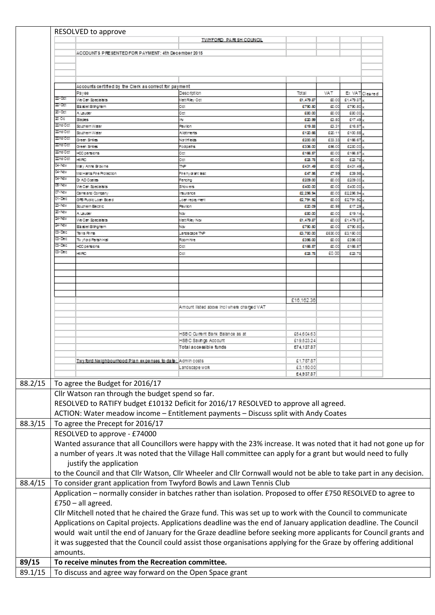|                          | RESOLVED to approve                                             |                                                                                                                     |                    |                |                    |                |
|--------------------------|-----------------------------------------------------------------|---------------------------------------------------------------------------------------------------------------------|--------------------|----------------|--------------------|----------------|
|                          |                                                                 | <b>TWYFORD PARISH COUNCIL</b>                                                                                       |                    |                |                    |                |
|                          | ACCOUNTS PRESENTED FOR PAYMENT: 4th December 2015               |                                                                                                                     |                    |                |                    |                |
|                          |                                                                 |                                                                                                                     |                    |                |                    |                |
|                          |                                                                 |                                                                                                                     |                    |                |                    |                |
|                          |                                                                 |                                                                                                                     |                    |                |                    |                |
|                          |                                                                 |                                                                                                                     |                    |                |                    |                |
|                          | Accounts certified by the Clerk as correct for payment<br>Payee | Description                                                                                                         | Total              | VAT            |                    | EX VAT Cleared |
| 22-O.T                   | We Can Specialists                                              | fatti kley Oct                                                                                                      | £1,479.87          | 50.00          | £1,479.87          |                |
| 22-03:                   | Eizabet Billhoham                                               | Det                                                                                                                 | £750.50            | 50.00          | £790.50            |                |
| 20-Oct                   | A Lauder                                                        | Det                                                                                                                 | £30.00             | 50.00          | £80.00             |                |
| 20 Oc                    | <b>Stacks</b>                                                   | l.                                                                                                                  | 620.53             | 63.50          | £17.49             |                |
| 22nd Oct                 | Southern Water                                                  | <b>BM RM</b>                                                                                                        | £19.88             | 63.31          | 616.57             |                |
| 23 d'Oct                 | Southern Water                                                  | A coments                                                                                                           | £120.66            | 620.11         | £100.55            |                |
| za doct<br><b>200000</b> | Green Smiles                                                    | North Lits                                                                                                          | £200.00            | 633.33         | £165.67            |                |
| 22nd Oct                 | Green Smiles                                                    | Foctpaths                                                                                                           | £336.00            | £96.00         | £280.00            |                |
| 2ad Oct                  | <b>HCC persions</b><br><b>HMRC</b>                              | Det<br>Det                                                                                                          | \$165.57<br>628.78 | 50.00<br>50.00 | £165.57<br>6:28.78 |                |
| 01-Nw                    | Mary Anne Browne                                                | īМP                                                                                                                 | \$431.49           | 50.00          | £431.49            |                |
| 01-NW                    | Mid Hants Fire Protection                                       | Fire hydrant test                                                                                                   | 547.95             | 57.99          | £39.95             |                |
| 01-NW                    | D: AD Costes                                                    | fercho                                                                                                              | £209.00            | 50.00          | 5209.00            |                |
| 05-NW                    | We Can Specialists                                              | Show ers                                                                                                            | £400.00            | 50.00          | £400.00            |                |
| CV-Nov                   | Came and Company                                                | <b>Insurance</b>                                                                                                    | \$2,258.94         | 50.00          | 62296.94           |                |
| 01-Dec                   | GFB Public Loan Board                                           | Loan repayment                                                                                                      | \$2,791.92         | 50.00          | 52791.92           |                |
| 23 N.W                   | Southern Bechlo                                                 | <b>BV km</b>                                                                                                        | 520.09             | 50.95          | 617.29             |                |
| 20-Nov                   | <b>Alauter</b>                                                  | ÷ν                                                                                                                  | £30.00             | 50.00          | 519.14             |                |
| 21-Nov                   | We Can Specialists                                              | fatt Filey Nov                                                                                                      | E1.479.87          | 50.00          | 51,479.87          |                |
| 21-Nov                   | Eizabet Billhoham                                               | òм                                                                                                                  | 5750.50            | 50.00          | 5730.50            |                |
| 03-Dec                   | Terra Firma                                                     | ardscape TNP                                                                                                        | £3,780.00          | £630.00        | 53.150.00          |                |
| 03-Dec                   | Wyford Farish Hall                                              | Room hire                                                                                                           | £356.00            | 50.00          | £396.00            |                |
| 03-Dec<br>03-Dec         | <b>FCC persions</b>                                             | Dеt                                                                                                                 | 5165.57            | 50.00          | £166.57            |                |
|                          | HMRC                                                            | Det                                                                                                                 | 528.78             | 60.00          | 5:28.78            |                |
|                          |                                                                 |                                                                                                                     |                    |                |                    |                |
|                          |                                                                 |                                                                                                                     |                    |                |                    |                |
|                          |                                                                 |                                                                                                                     |                    |                |                    |                |
|                          |                                                                 |                                                                                                                     |                    |                |                    |                |
|                          |                                                                 |                                                                                                                     |                    |                |                    |                |
|                          |                                                                 |                                                                                                                     | £16.162.36         |                |                    |                |
|                          |                                                                 | Amount listed above incliwhere charged VAT                                                                          |                    |                |                    |                |
|                          |                                                                 |                                                                                                                     |                    |                |                    |                |
|                          |                                                                 |                                                                                                                     |                    |                |                    |                |
|                          |                                                                 |                                                                                                                     |                    |                |                    |                |
|                          |                                                                 | HSBC Current Bank Balance as at                                                                                     | £54,604.63         |                |                    |                |
|                          |                                                                 | HSBC Savings Account                                                                                                | £19.523.24         |                |                    |                |
|                          |                                                                 | Total accessible funds                                                                                              | 274.127.87         |                |                    |                |
|                          |                                                                 |                                                                                                                     |                    |                |                    |                |
|                          | Twy ford Neighbourhood Plan expenses to date: Admin costs       |                                                                                                                     | £1,787.87          |                |                    |                |
|                          |                                                                 | Landscape work                                                                                                      | £3,150.00          |                |                    |                |
|                          |                                                                 |                                                                                                                     | £4,937.87          |                |                    |                |
|                          | To agree the Budget for 2016/17                                 |                                                                                                                     |                    |                |                    |                |
|                          |                                                                 |                                                                                                                     |                    |                |                    |                |
|                          |                                                                 |                                                                                                                     |                    |                |                    |                |
|                          | Cllr Watson ran through the budget spend so far.                |                                                                                                                     |                    |                |                    |                |
|                          |                                                                 | RESOLVED to RATIFY budget £10132 Deficit for 2016/17 RESOLVED to approve all agreed.                                |                    |                |                    |                |
|                          |                                                                 |                                                                                                                     |                    |                |                    |                |
|                          |                                                                 | ACTION: Water meadow income - Entitlement payments - Discuss split with Andy Coates                                 |                    |                |                    |                |
|                          | To agree the Precept for 2016/17                                |                                                                                                                     |                    |                |                    |                |
|                          |                                                                 |                                                                                                                     |                    |                |                    |                |
|                          | RESOLVED to approve - £74000                                    |                                                                                                                     |                    |                |                    |                |
|                          |                                                                 | Wanted assurance that all Councillors were happy with the 23% increase. It was noted that it had not gone up for    |                    |                |                    |                |
|                          |                                                                 | a number of years . It was noted that the Village Hall committee can apply for a grant but would need to fully      |                    |                |                    |                |
|                          |                                                                 |                                                                                                                     |                    |                |                    |                |
|                          | justify the application                                         |                                                                                                                     |                    |                |                    |                |
|                          |                                                                 | to the Council and that Cllr Watson, Cllr Wheeler and Cllr Cornwall would not be able to take part in any decision. |                    |                |                    |                |
|                          |                                                                 | To consider grant application from Twyford Bowls and Lawn Tennis Club                                               |                    |                |                    |                |
|                          |                                                                 |                                                                                                                     |                    |                |                    |                |
|                          |                                                                 | Application - normally consider in batches rather than isolation. Proposed to offer £750 RESOLVED to agree to       |                    |                |                    |                |
|                          | $£750 - all$ agreed.                                            |                                                                                                                     |                    |                |                    |                |
|                          |                                                                 |                                                                                                                     |                    |                |                    |                |
|                          |                                                                 | Cllr Mitchell noted that he chaired the Graze fund. This was set up to work with the Council to communicate         |                    |                |                    |                |
|                          |                                                                 | Applications on Capital projects. Applications deadline was the end of January application deadline. The Council    |                    |                |                    |                |
|                          |                                                                 | would wait until the end of January for the Graze deadline before seeking more applicants for Council grants and    |                    |                |                    |                |
|                          |                                                                 |                                                                                                                     |                    |                |                    |                |
|                          |                                                                 | it was suggested that the Council could assist those organisations applying for the Graze by offering additional    |                    |                |                    |                |
| amounts.                 |                                                                 |                                                                                                                     |                    |                |                    |                |
|                          | To receive minutes from the Recreation committee.               |                                                                                                                     |                    |                |                    |                |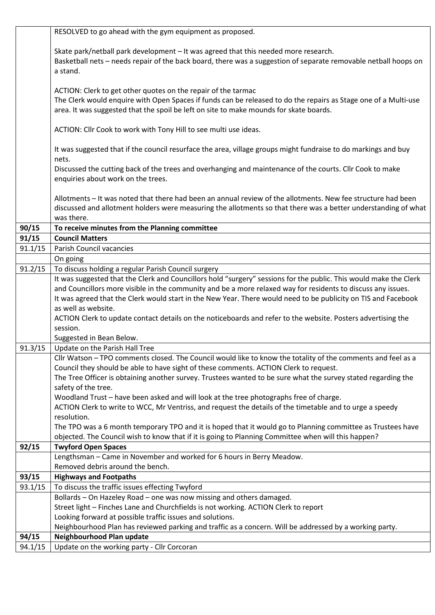|                | RESOLVED to go ahead with the gym equipment as proposed.                                                          |
|----------------|-------------------------------------------------------------------------------------------------------------------|
|                |                                                                                                                   |
|                | Skate park/netball park development - It was agreed that this needed more research.                               |
|                | Basketball nets - needs repair of the back board, there was a suggestion of separate removable netball hoops on   |
|                | a stand.                                                                                                          |
|                |                                                                                                                   |
|                | ACTION: Clerk to get other quotes on the repair of the tarmac                                                     |
|                | The Clerk would enquire with Open Spaces if funds can be released to do the repairs as Stage one of a Multi-use   |
|                | area. It was suggested that the spoil be left on site to make mounds for skate boards.                            |
|                |                                                                                                                   |
|                | ACTION: Cllr Cook to work with Tony Hill to see multi use ideas.                                                  |
|                |                                                                                                                   |
|                | It was suggested that if the council resurface the area, village groups might fundraise to do markings and buy    |
|                | nets.                                                                                                             |
|                | Discussed the cutting back of the trees and overhanging and maintenance of the courts. Cllr Cook to make          |
|                | enquiries about work on the trees.                                                                                |
|                |                                                                                                                   |
|                | Allotments - It was noted that there had been an annual review of the allotments. New fee structure had been      |
|                | discussed and allotment holders were measuring the allotments so that there was a better understanding of what    |
|                | was there.<br>To receive minutes from the Planning committee                                                      |
| 90/15<br>91/15 | <b>Council Matters</b>                                                                                            |
| 91.1/15        | Parish Council vacancies                                                                                          |
|                | On going                                                                                                          |
| 91.2/15        | To discuss holding a regular Parish Council surgery                                                               |
|                | It was suggested that the Clerk and Councillors hold "surgery" sessions for the public. This would make the Clerk |
|                | and Councillors more visible in the community and be a more relaxed way for residents to discuss any issues.      |
|                | It was agreed that the Clerk would start in the New Year. There would need to be publicity on TIS and Facebook    |
|                | as well as website.                                                                                               |
|                | ACTION Clerk to update contact details on the noticeboards and refer to the website. Posters advertising the      |
|                | session.                                                                                                          |
|                | Suggested in Bean Below.                                                                                          |
| 91.3/15        | Update on the Parish Hall Tree                                                                                    |
|                | Cllr Watson - TPO comments closed. The Council would like to know the totality of the comments and feel as a      |
|                | Council they should be able to have sight of these comments. ACTION Clerk to request.                             |
|                | The Tree Officer is obtaining another survey. Trustees wanted to be sure what the survey stated regarding the     |
|                | safety of the tree.                                                                                               |
|                | Woodland Trust - have been asked and will look at the tree photographs free of charge.                            |
|                | ACTION Clerk to write to WCC, Mr Ventriss, and request the details of the timetable and to urge a speedy          |
|                | resolution.                                                                                                       |
|                | The TPO was a 6 month temporary TPO and it is hoped that it would go to Planning committee as Trustees have       |
|                | objected. The Council wish to know that if it is going to Planning Committee when will this happen?               |
| 92/15          | <b>Twyford Open Spaces</b>                                                                                        |
|                | Lengthsman - Came in November and worked for 6 hours in Berry Meadow.                                             |
|                | Removed debris around the bench.                                                                                  |
| 93/15          | <b>Highways and Footpaths</b>                                                                                     |
| 93.1/15        | To discuss the traffic issues effecting Twyford                                                                   |
|                | Bollards - On Hazeley Road - one was now missing and others damaged.                                              |
|                | Street light - Finches Lane and Churchfields is not working. ACTION Clerk to report                               |
|                | Looking forward at possible traffic issues and solutions.                                                         |
|                | Neighbourhood Plan has reviewed parking and traffic as a concern. Will be addressed by a working party.           |
| 94/15          | Neighbourhood Plan update                                                                                         |
| 94.1/15        | Update on the working party - Cllr Corcoran                                                                       |